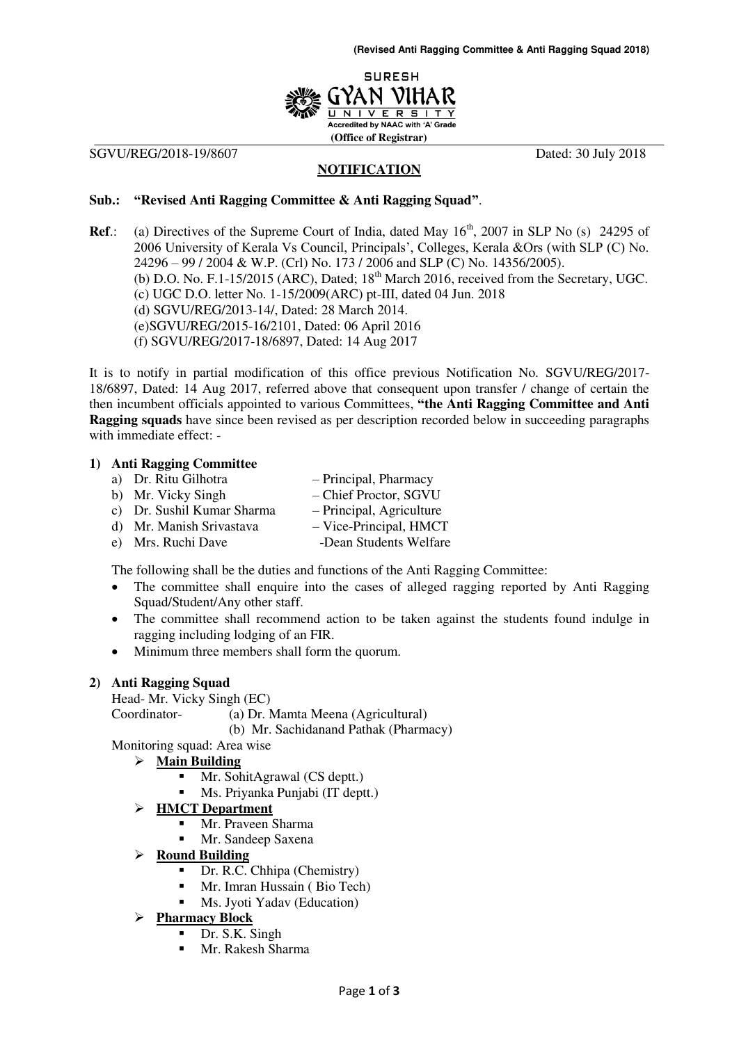

SGVU/REG/2018-19/8607 Dated: 30 July 2018

## **NOTIFICATION**

## **Sub.: "Revised Anti Ragging Committee & Anti Ragging Squad"**.

**Ref.:** (a) Directives of the Supreme Court of India, dated May 16<sup>th</sup>, 2007 in SLP No (s) 24295 of 2006 University of Kerala Vs Council, Principals', Colleges, Kerala &Ors (with SLP (C) No. 24296 – 99 / 2004 & W.P. (Crl) No. 173 / 2006 and SLP (C) No. 14356/2005). (b) D.O. No. F.1-15/2015 (ARC), Dated;  $18<sup>th</sup>$  March 2016, received from the Secretary, UGC. (c) UGC D.O. letter No. 1-15/2009(ARC) pt-III, dated 04 Jun. 2018 (d) SGVU/REG/2013-14/, Dated: 28 March 2014. (e)SGVU/REG/2015-16/2101, Dated: 06 April 2016 (f) SGVU/REG/2017-18/6897, Dated: 14 Aug 2017

It is to notify in partial modification of this office previous Notification No. SGVU/REG/2017- 18/6897, Dated: 14 Aug 2017, referred above that consequent upon transfer / change of certain the then incumbent officials appointed to various Committees, **"the Anti Ragging Committee and Anti Ragging squads** have since been revised as per description recorded below in succeeding paragraphs with immediate effect: -

## **1) Anti Ragging Committee**

- a) Dr. Ritu Gilhotra Principal, Pharmacy
- b) Mr. Vicky Singh Chief Proctor, SGVU
- c) Dr. Sushil Kumar Sharma Principal, Agriculture
- d) Mr. Manish Srivastava Vice-Principal, HMCT
- e) Mrs. Ruchi Dave -Dean Students Welfare

The following shall be the duties and functions of the Anti Ragging Committee:

- The committee shall enquire into the cases of alleged ragging reported by Anti Ragging Squad/Student/Any other staff.
- The committee shall recommend action to be taken against the students found indulge in ragging including lodging of an FIR.
- Minimum three members shall form the quorum.

## **2) Anti Ragging Squad**

Head- Mr. Vicky Singh (EC) Coordinator- (a) Dr. Mamta Meena (Agricultural) (b) Mr. Sachidanand Pathak (Pharmacy)

Monitoring squad: Area wise

## **Main Building**

- Mr. SohitAgrawal (CS deptt.)
- Ms. Priyanka Punjabi (IT deptt.)
- **HMCT Department**
	- Mr. Praveen Sharma
	- Mr. Sandeep Saxena
- **Round Building**
	- Dr. R.C. Chhipa (Chemistry)
	- Mr. Imran Hussain ( Bio Tech)
	- **Ms. Jyoti Yadav (Education)**

## **Pharmacy Block**

- Dr. S.K. Singh
- Mr. Rakesh Sharma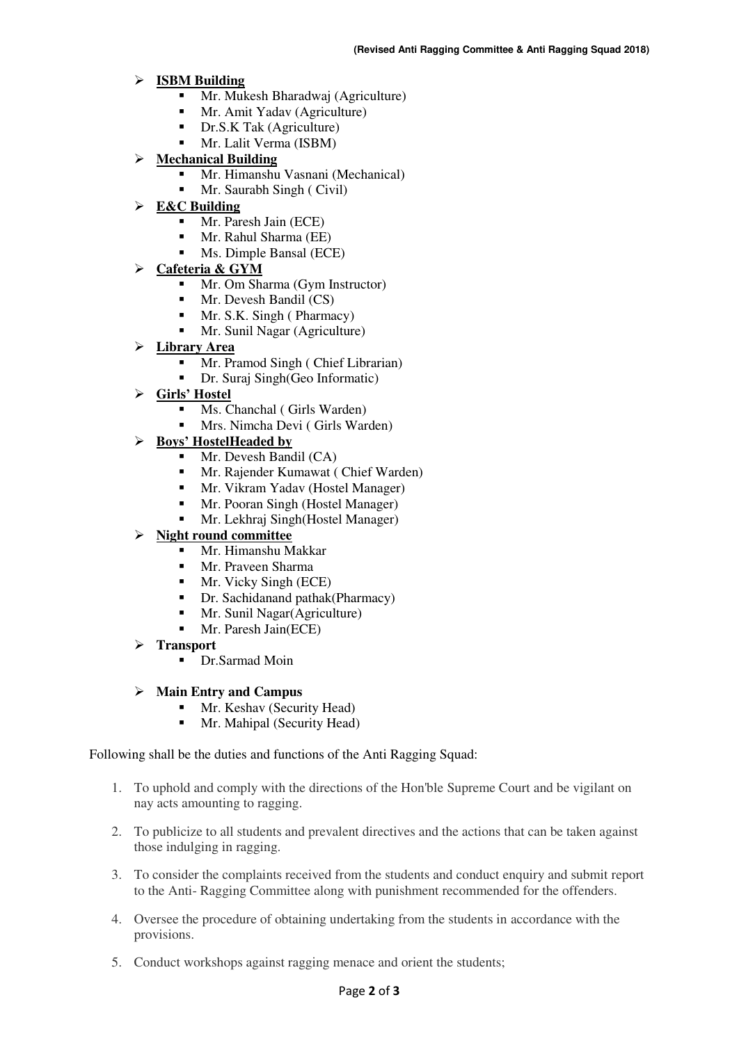#### **ISBM Building**

- Mr. Mukesh Bharadwaj (Agriculture)
- Mr. Amit Yadav (Agriculture)
- Dr.S.K Tak (Agriculture)
- Mr. Lalit Verma (ISBM)
- **Mechanical Building**
	- Mr. Himanshu Vasnani (Mechanical)
	- Mr. Saurabh Singh ( Civil)
- **E&C Building**
	- Mr. Paresh Jain (ECE)
	- **Mr. Rahul Sharma (EE)**
	- **Ms. Dimple Bansal (ECE)**
- **Cafeteria & GYM**
	- **Mr.** Om Sharma (Gym Instructor)
	- Mr. Devesh Bandil (CS)
	- $Mr. S.K.$  Singh ( Pharmacy)
	- **Mr.** Sunil Nagar (Agriculture)
- **Library Area**
	- Mr. Pramod Singh ( Chief Librarian)
	- Dr. Suraj Singh(Geo Informatic)
- **Girls' Hostel**
	- **Ms.** Chanchal ( Girls Warden)
	- Mrs. Nimcha Devi ( Girls Warden)
- **Boys' HostelHeaded by**
	- **Mr. Devesh Bandil (CA)**<br>**Mr. Raiender Kumawat (**
	- Mr. Rajender Kumawat ( Chief Warden)
	- **Mr. Vikram Yadav (Hostel Manager)**
	- **Mr. Pooran Singh (Hostel Manager)**
	- **Mr. Lekhraj Singh (Hostel Manager)**

## **Night round committee**

- **Mr. Himanshu Makkar**
- Mr. Praveen Sharma
- $Mr$ . Vicky Singh (ECE)
- Dr. Sachidanand pathak(Pharmacy)
- Mr. Sunil Nagar(Agriculture)
- **Mr.** Paresh Jain(ECE)
- **Transport** 
	- Dr.Sarmad Moin

## **Main Entry and Campus**

- **Mr.** Keshav (Security Head)
- **Mr. Mahipal (Security Head)**

## Following shall be the duties and functions of the Anti Ragging Squad:

- 1. To uphold and comply with the directions of the Hon'ble Supreme Court and be vigilant on nay acts amounting to ragging.
- 2. To publicize to all students and prevalent directives and the actions that can be taken against those indulging in ragging.
- 3. To consider the complaints received from the students and conduct enquiry and submit report to the Anti- Ragging Committee along with punishment recommended for the offenders.
- 4. Oversee the procedure of obtaining undertaking from the students in accordance with the provisions.
- 5. Conduct workshops against ragging menace and orient the students;